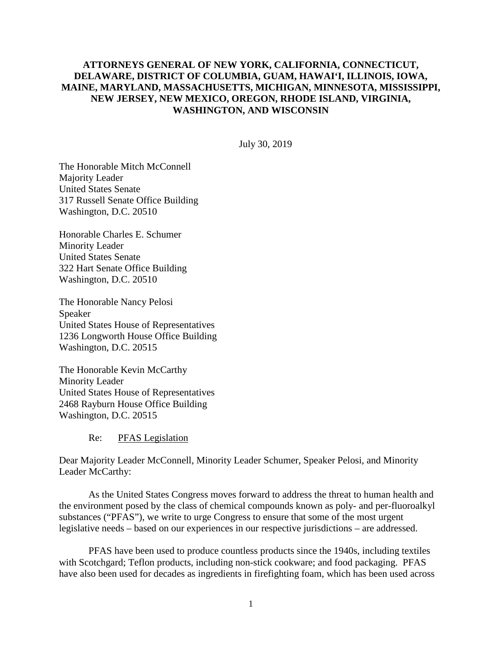# **ATTORNEYS GENERAL OF NEW YORK, CALIFORNIA, CONNECTICUT, DELAWARE, DISTRICT OF COLUMBIA, GUAM, HAWAI'I, ILLINOIS, IOWA, MAINE, MARYLAND, MASSACHUSETTS, MICHIGAN, MINNESOTA, MISSISSIPPI, NEW JERSEY, NEW MEXICO, OREGON, RHODE ISLAND, VIRGINIA, WASHINGTON, AND WISCONSIN**

July 30, 2019

The Honorable Mitch McConnell Majority Leader United States Senate 317 Russell Senate Office Building Washington, D.C. 20510

Honorable Charles E. Schumer Minority Leader United States Senate 322 Hart Senate Office Building Washington, D.C. 20510

The Honorable Nancy Pelosi Speaker United States House of Representatives 1236 Longworth House Office Building Washington, D.C. 20515

The Honorable Kevin McCarthy Minority Leader United States House of Representatives 2468 Rayburn House Office Building Washington, D.C. 20515

Re: PFAS Legislation

Dear Majority Leader McConnell, Minority Leader Schumer, Speaker Pelosi, and Minority Leader McCarthy:

As the United States Congress moves forward to address the threat to human health and the environment posed by the class of chemical compounds known as poly- and per-fluoroalkyl substances ("PFAS"), we write to urge Congress to ensure that some of the most urgent legislative needs – based on our experiences in our respective jurisdictions – are addressed.

PFAS have been used to produce countless products since the 1940s, including textiles with Scotchgard; Teflon products, including non-stick cookware; and food packaging. PFAS have also been used for decades as ingredients in firefighting foam, which has been used across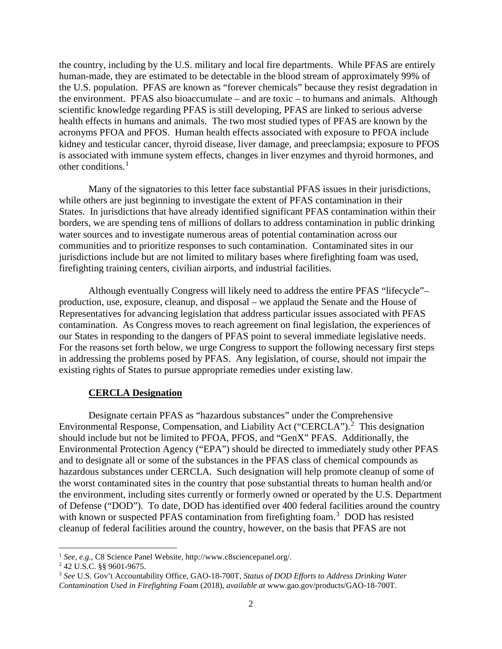the country, including by the U.S. military and local fire departments. While PFAS are entirely human-made, they are estimated to be detectable in the blood stream of approximately 99% of the U.S. population. PFAS are known as "forever chemicals" because they resist degradation in the environment. PFAS also bioaccumulate – and are toxic – to humans and animals. Although scientific knowledge regarding PFAS is still developing, PFAS are linked to serious adverse health effects in humans and animals. The two most studied types of PFAS are known by the acronyms PFOA and PFOS. Human health effects associated with exposure to PFOA include kidney and testicular cancer, thyroid disease, liver damage, and preeclampsia; exposure to PFOS is associated with immune system effects, changes in liver enzymes and thyroid hormones, and other conditions. [1](#page-1-0)

Many of the signatories to this letter face substantial PFAS issues in their jurisdictions, while others are just beginning to investigate the extent of PFAS contamination in their States. In jurisdictions that have already identified significant PFAS contamination within their borders, we are spending tens of millions of dollars to address contamination in public drinking water sources and to investigate numerous areas of potential contamination across our communities and to prioritize responses to such contamination. Contaminated sites in our jurisdictions include but are not limited to military bases where firefighting foam was used, firefighting training centers, civilian airports, and industrial facilities.

Although eventually Congress will likely need to address the entire PFAS "lifecycle"– production, use, exposure, cleanup, and disposal – we applaud the Senate and the House of Representatives for advancing legislation that address particular issues associated with PFAS contamination. As Congress moves to reach agreement on final legislation, the experiences of our States in responding to the dangers of PFAS point to several immediate legislative needs. For the reasons set forth below, we urge Congress to support the following necessary first steps in addressing the problems posed by PFAS. Any legislation, of course, should not impair the existing rights of States to pursue appropriate remedies under existing law.

#### **CERCLA Designation**

Designate certain PFAS as "hazardous substances" under the Comprehensive Environmental Response, Compensation, and Liability Act ("CERCLA").<sup>[2](#page-1-1)</sup> This designation should include but not be limited to PFOA, PFOS, and "GenX" PFAS. Additionally, the Environmental Protection Agency ("EPA") should be directed to immediately study other PFAS and to designate all or some of the substances in the PFAS class of chemical compounds as hazardous substances under CERCLA. Such designation will help promote cleanup of some of the worst contaminated sites in the country that pose substantial threats to human health and/or the environment, including sites currently or formerly owned or operated by the U.S. Department of Defense ("DOD"). To date, DOD has identified over 400 federal facilities around the country with known or suspected PFAS contamination from firefighting foam.<sup>[3](#page-1-2)</sup> DOD has resisted cleanup of federal facilities around the country, however, on the basis that PFAS are not

<span id="page-1-2"></span><span id="page-1-1"></span>

<span id="page-1-0"></span><sup>&</sup>lt;sup>1</sup> *See, e.g.*, C8 Science Panel Website, http://www.c8sciencepanel.org/.<br><sup>2</sup> 42 U.S.C. §§ 9601-9675.<br><sup>3</sup> *See* U.S. Gov't Accountability Office, GAO-18-700T, *Status of DOD Efforts to Address Drinking Water Contamination Used in Firefighting Foam* (2018), *available at* www.gao.gov/products/GAO-18-700T.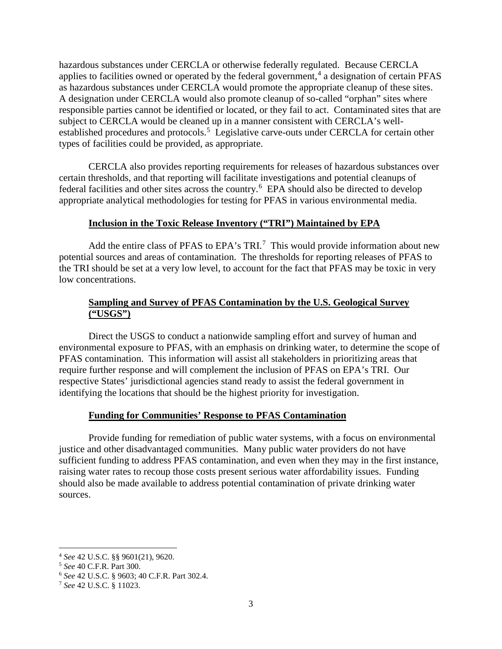hazardous substances under CERCLA or otherwise federally regulated. Because CERCLA applies to facilities owned or operated by the federal government,<sup>[4](#page-2-0)</sup> a designation of certain PFAS as hazardous substances under CERCLA would promote the appropriate cleanup of these sites. A designation under CERCLA would also promote cleanup of so-called "orphan" sites where responsible parties cannot be identified or located, or they fail to act. Contaminated sites that are subject to CERCLA would be cleaned up in a manner consistent with CERCLA's well-established procedures and protocols.<sup>[5](#page-2-1)</sup> Legislative carve-outs under CERCLA for certain other types of facilities could be provided, as appropriate.

CERCLA also provides reporting requirements for releases of hazardous substances over certain thresholds, and that reporting will facilitate investigations and potential cleanups of federal facilities and other sites across the country. [6](#page-2-2) EPA should also be directed to develop appropriate analytical methodologies for testing for PFAS in various environmental media.

## **Inclusion in the Toxic Release Inventory ("TRI") Maintained by EPA**

Add the entire class of PFAS to EPA's TRI.<sup>[7](#page-2-3)</sup> This would provide information about new potential sources and areas of contamination. The thresholds for reporting releases of PFAS to the TRI should be set at a very low level, to account for the fact that PFAS may be toxic in very low concentrations.

# **Sampling and Survey of PFAS Contamination by the U.S. Geological Survey ("USGS")**

Direct the USGS to conduct a nationwide sampling effort and survey of human and environmental exposure to PFAS, with an emphasis on drinking water, to determine the scope of PFAS contamination. This information will assist all stakeholders in prioritizing areas that require further response and will complement the inclusion of PFAS on EPA's TRI. Our respective States' jurisdictional agencies stand ready to assist the federal government in identifying the locations that should be the highest priority for investigation.

### **Funding for Communities' Response to PFAS Contamination**

Provide funding for remediation of public water systems, with a focus on environmental justice and other disadvantaged communities. Many public water providers do not have sufficient funding to address PFAS contamination, and even when they may in the first instance, raising water rates to recoup those costs present serious water affordability issues. Funding should also be made available to address potential contamination of private drinking water sources.

<span id="page-2-0"></span> <sup>4</sup> *See* 42 U.S.C. §§ 9601(21), 9620.

<span id="page-2-3"></span><span id="page-2-2"></span><span id="page-2-1"></span><sup>5</sup> *See* 40 C.F.R. Part 300. 6 *See* 42 U.S.C. § 9603; 40 C.F.R. Part 302.4. 7 *See* 42 U.S.C. § 11023.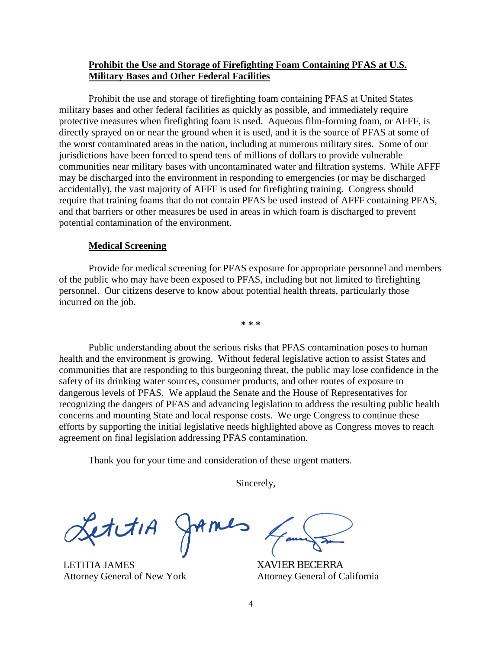## **Prohibit the Use and Storage of Firefighting Foam Containing PFAS at U.S. Military Bases and Other Federal Facilities**

Prohibit the use and storage of firefighting foam containing PFAS at United States military bases and other federal facilities as quickly as possible, and immediately require protective measures when firefighting foam is used. Aqueous film-forming foam, or AFFF, is directly sprayed on or near the ground when it is used, and it is the source of PFAS at some of the worst contaminated areas in the nation, including at numerous military sites. Some of our jurisdictions have been forced to spend tens of millions of dollars to provide vulnerable communities near military bases with uncontaminated water and filtration systems. While AFFF may be discharged into the environment in responding to emergencies (or may be discharged accidentally), the vast majority of AFFF is used for firefighting training. Congress should require that training foams that do not contain PFAS be used instead of AFFF containing PFAS, and that barriers or other measures be used in areas in which foam is discharged to prevent potential contamination of the environment.

#### **Medical Screening**

Provide for medical screening for PFAS exposure for appropriate personnel and members of the public who may have been exposed to PFAS, including but not limited to firefighting personnel. Our citizens deserve to know about potential health threats, particularly those incurred on the job.

**\* \* \***

Public understanding about the serious risks that PFAS contamination poses to human health and the environment is growing. Without federal legislative action to assist States and communities that are responding to this burgeoning threat, the public may lose confidence in the safety of its drinking water sources, consumer products, and other routes of exposure to dangerous levels of PFAS. We applaud the Senate and the House of Representatives for recognizing the dangers of PFAS and advancing legislation to address the resulting public health concerns and mounting State and local response costs. We urge Congress to continue these efforts by supporting the initial legislative needs highlighted above as Congress moves to reach agreement on final legislation addressing PFAS contamination.

Thank you for your time and consideration of these urgent matters.

Sincerely,

EtitiA

LETITIA JAMES Attorney General of New York

XAVIER BECERRA Attorney General of California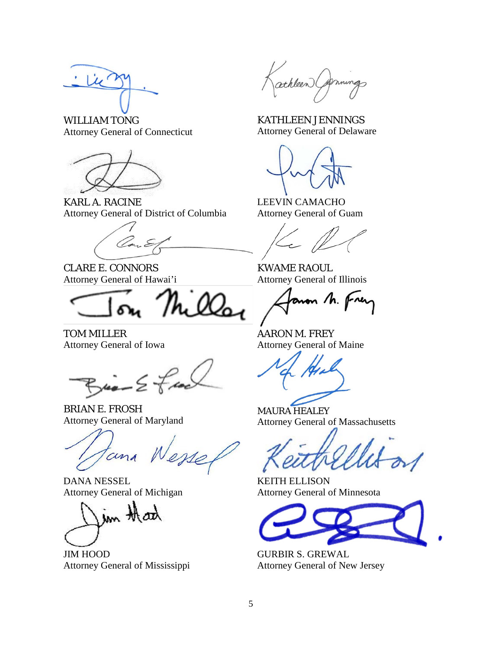WILLIAM TONG Attorney General of Connecticut



KARL A. RACINE Attorney General of District of Columbia

CLARE E. CONNORS Attorney General of Hawai'i

TOM MILLER Attorney General of Iowa

 $Bia - 2fa$ 

BRIAN E. FROSH Attorney General of Maryland

tana W.

DANA NESSEL Attorney General of Michigan

im thanh

JIM HOOD Attorney General of Mississippi

athleen (A

KATHLEEN JENNINGS Attorney General of Delaware

LEEVIN CAMACHO Attorney General of Guam

KWAME RAOUL Attorney General of Illinois

non M. Frey

AARON M. FREY Attorney General of Maine

MAURA HEALEY Attorney General of Massachusetts

KEITH ELLISON Attorney General of Minnesota



GURBIR S. GREWAL Attorney General of New Jersey